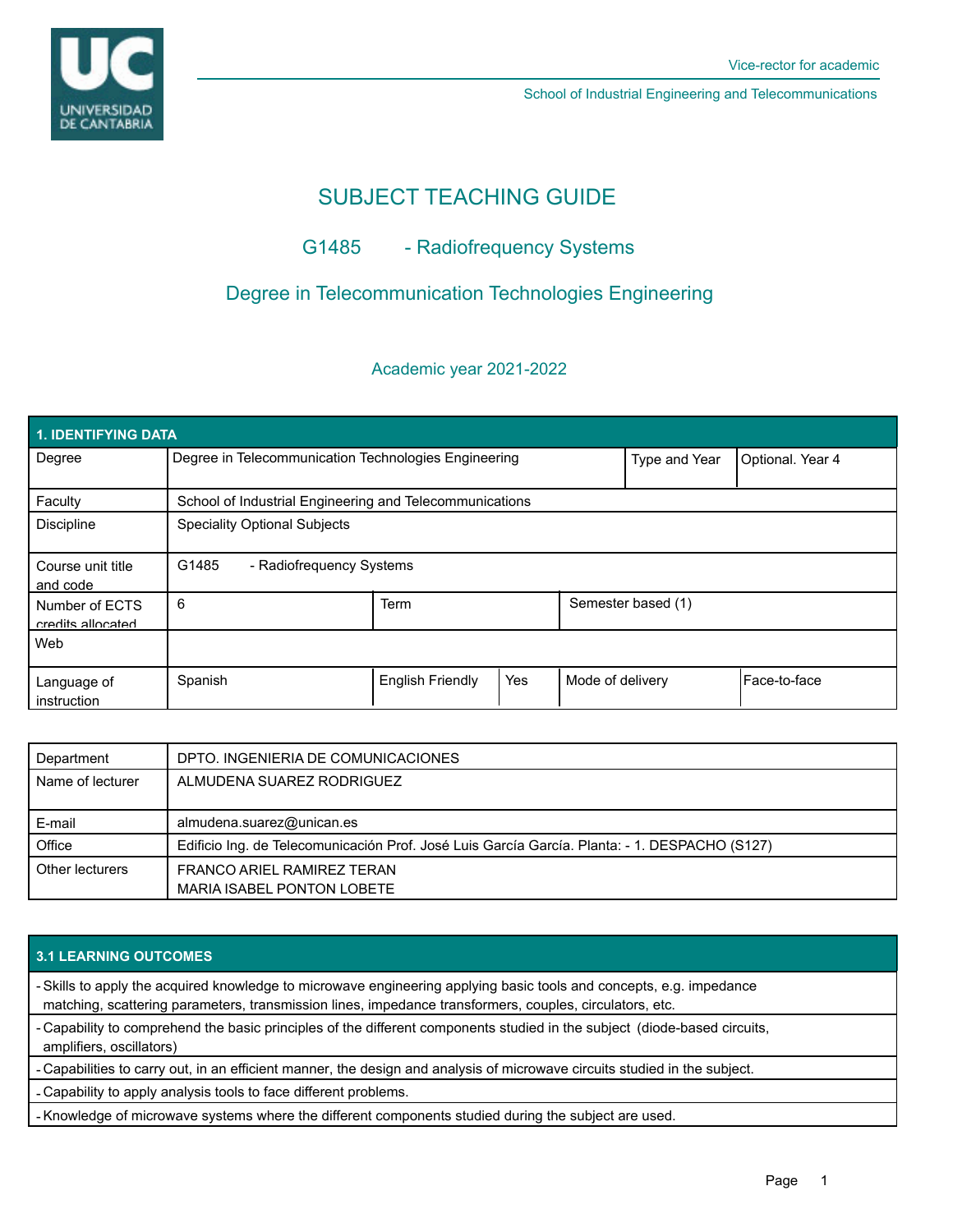

School of Industrial Engineering and Telecommunications

# SUBJECT TEACHING GUIDE

# G1485 - Radiofrequency Systems

## Degree in Telecommunication Technologies Engineering

## Academic year 2021-2022

| 1. IDENTIFYING DATA                 |                                                         |                         |     |                  |                    |                  |
|-------------------------------------|---------------------------------------------------------|-------------------------|-----|------------------|--------------------|------------------|
| Degree                              | Degree in Telecommunication Technologies Engineering    |                         |     |                  | Type and Year      | Optional. Year 4 |
| Faculty                             | School of Industrial Engineering and Telecommunications |                         |     |                  |                    |                  |
| <b>Discipline</b>                   | <b>Speciality Optional Subjects</b>                     |                         |     |                  |                    |                  |
| Course unit title<br>and code       | G1485<br>- Radiofrequency Systems                       |                         |     |                  |                    |                  |
| Number of ECTS<br>credits allocated | 6                                                       | Term                    |     |                  | Semester based (1) |                  |
| Web                                 |                                                         |                         |     |                  |                    |                  |
| Language of<br>instruction          | Spanish                                                 | <b>English Friendly</b> | Yes | Mode of delivery |                    | l Face-to-face   |

| Department       | DPTO. INGENIERIA DE COMUNICACIONES                                                            |  |
|------------------|-----------------------------------------------------------------------------------------------|--|
| Name of lecturer | ALMUDENA SUAREZ RODRIGUEZ                                                                     |  |
|                  |                                                                                               |  |
| E-mail           | almudena.suarez@unican.es                                                                     |  |
| Office           | Edificio Ing. de Telecomunicación Prof. José Luis García García. Planta: - 1. DESPACHO (S127) |  |
| Other lecturers  | FRANCO ARIEL RAMIREZ TERAN                                                                    |  |
|                  | MARIA ISABEL PONTON LOBETE                                                                    |  |

### **3.1 LEARNING OUTCOMES**

- Skills to apply the acquired knowledge to microwave engineering applying basic tools and concepts, e.g. impedance matching, scattering parameters, transmission lines, impedance transformers, couples, circulators, etc.

- Capability to comprehend the basic principles of the different components studied in the subject (diode-based circuits, amplifiers, oscillators)

- Capabilities to carry out, in an efficient manner, the design and analysis of microwave circuits studied in the subject.

- Capability to apply analysis tools to face different problems.

- Knowledge of microwave systems where the different components studied during the subject are used.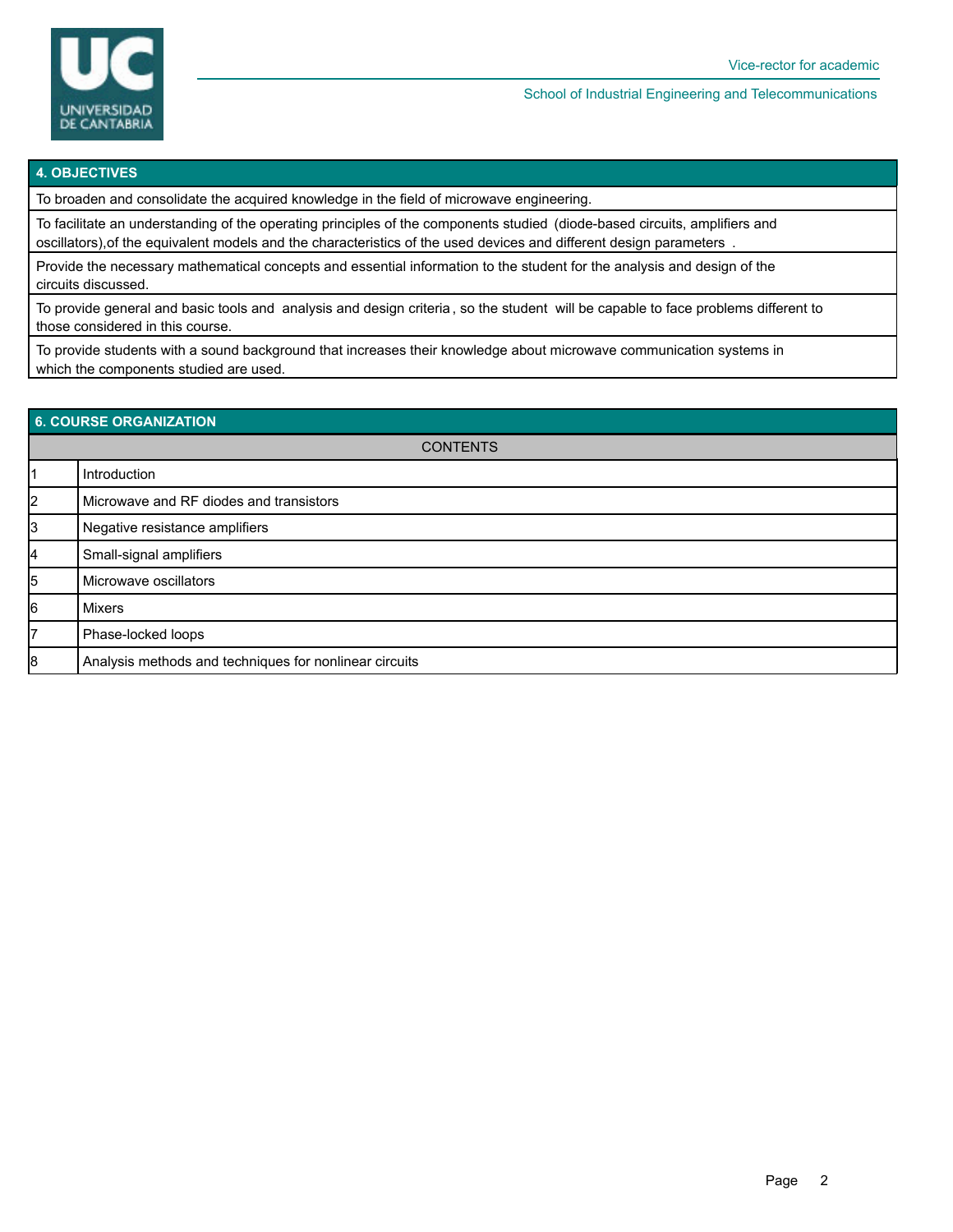

School of Industrial Engineering and Telecommunications

#### **4. OBJECTIVES**

To broaden and consolidate the acquired knowledge in the field of microwave engineering.

To facilitate an understanding of the operating principles of the components studied (diode-based circuits, amplifiers and oscillators),of the equivalent models and the characteristics of the used devices and different design parameters .

Provide the necessary mathematical concepts and essential information to the student for the analysis and design of the circuits discussed.

To provide general and basic tools and analysis and design criteria , so the student will be capable to face problems different to those considered in this course.

To provide students with a sound background that increases their knowledge about microwave communication systems in which the components studied are used.

| 6. COURSE ORGANIZATION |                                                        |  |  |  |
|------------------------|--------------------------------------------------------|--|--|--|
| <b>CONTENTS</b>        |                                                        |  |  |  |
| 11                     | Introduction                                           |  |  |  |
| 2                      | Microwave and RF diodes and transistors                |  |  |  |
| 3                      | Negative resistance amplifiers                         |  |  |  |
| 4                      | Small-signal amplifiers                                |  |  |  |
| 5                      | Microwave oscillators                                  |  |  |  |
| 6                      | Mixers                                                 |  |  |  |
| 7                      | Phase-locked loops                                     |  |  |  |
| 8                      | Analysis methods and techniques for nonlinear circuits |  |  |  |